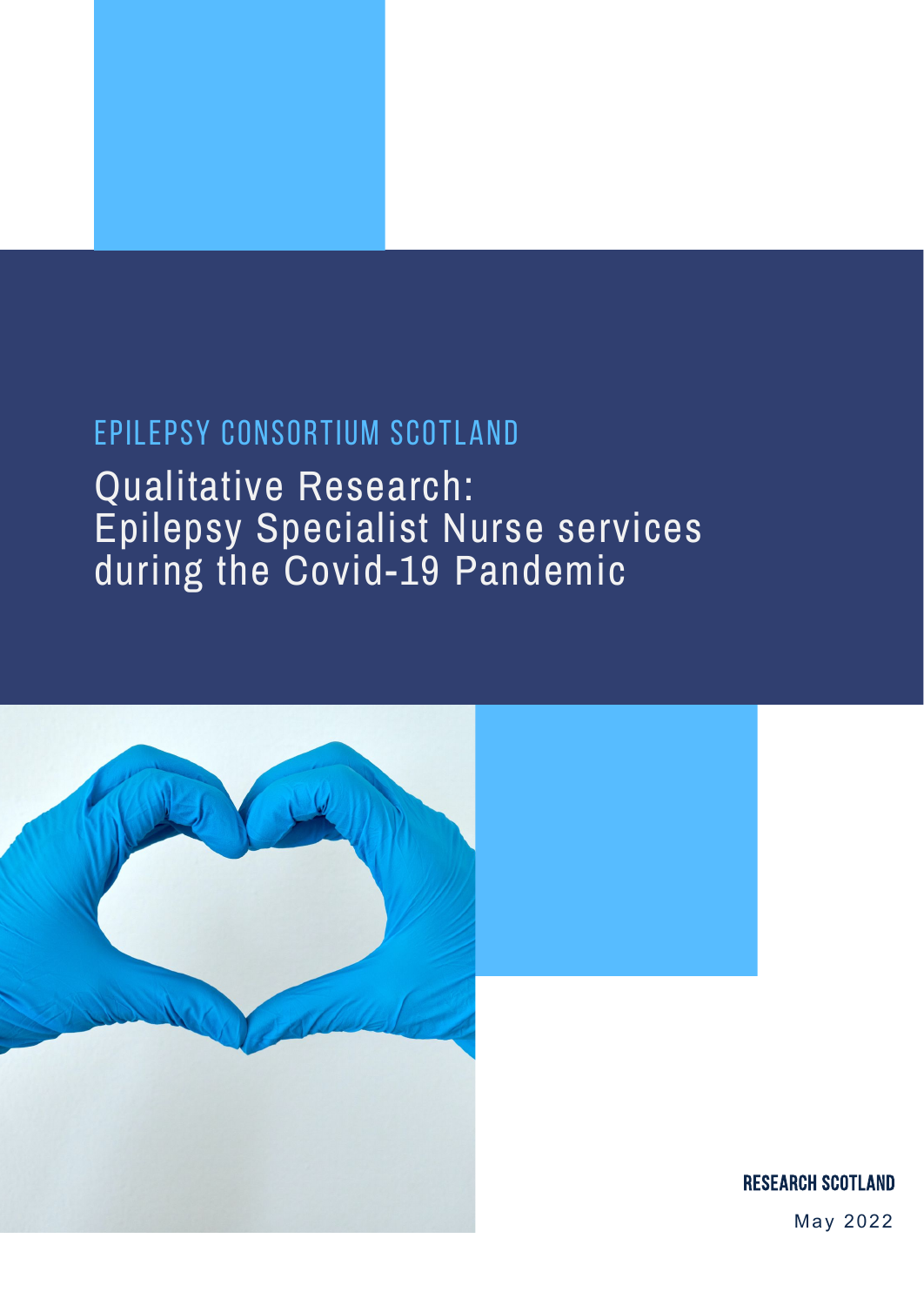# EPILEPSY CONSORTIUM SCOTLAND

Qualitative Research: Epilepsy Specialist Nurse services during the Covid-19 Pandemic



May 2022 Research Scotland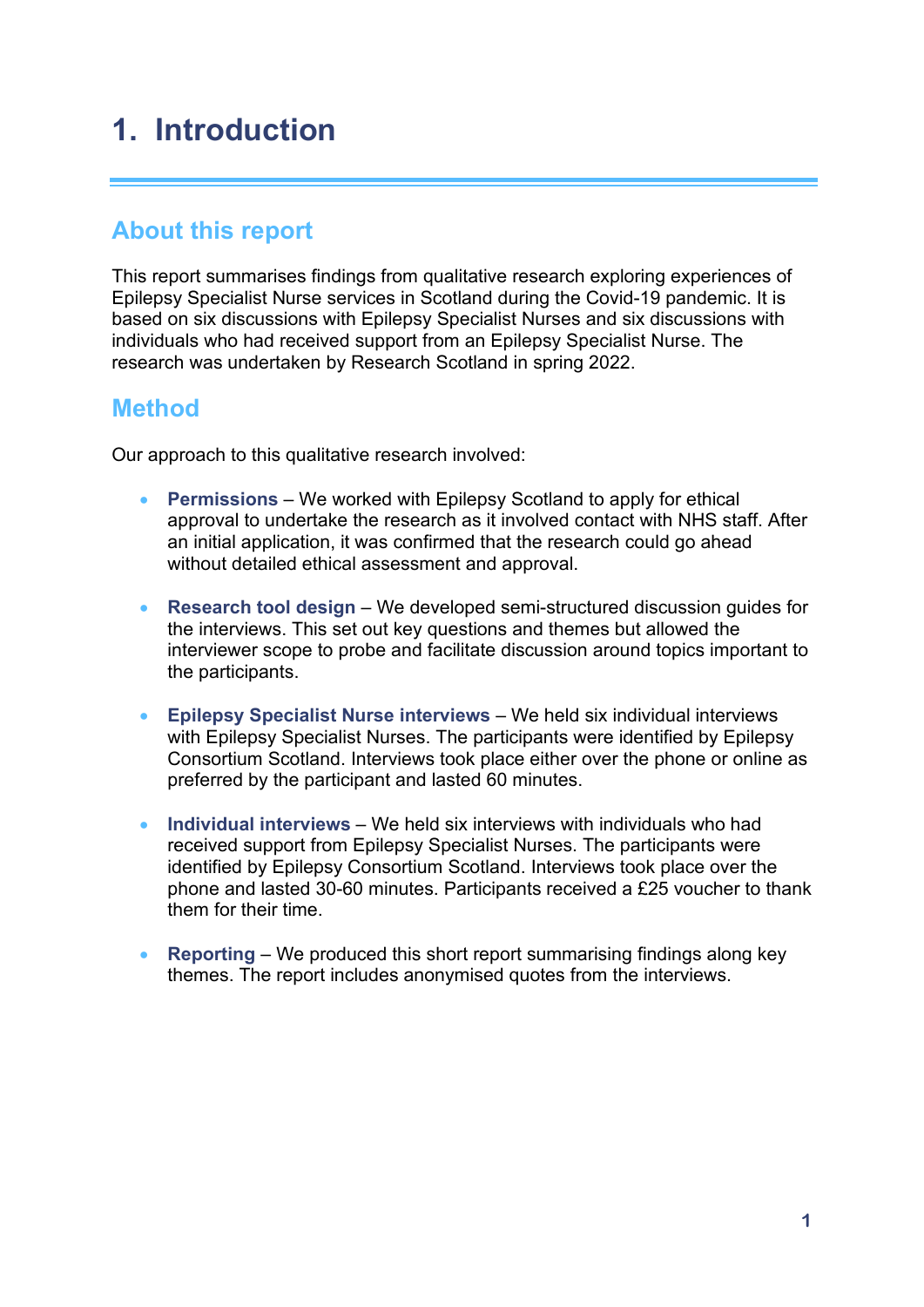# **1. Introduction**

## **About this report**

This report summarises findings from qualitative research exploring experiences of Epilepsy Specialist Nurse services in Scotland during the Covid-19 pandemic. It is based on six discussions with Epilepsy Specialist Nurses and six discussions with individuals who had received support from an Epilepsy Specialist Nurse. The research was undertaken by Research Scotland in spring 2022.

## **Method**

Our approach to this qualitative research involved:

- **Permissions** We worked with Epilepsy Scotland to apply for ethical approval to undertake the research as it involved contact with NHS staff. After an initial application, it was confirmed that the research could go ahead without detailed ethical assessment and approval.
- **Research tool design** We developed semi-structured discussion guides for the interviews. This set out key questions and themes but allowed the interviewer scope to probe and facilitate discussion around topics important to the participants.
- **Epilepsy Specialist Nurse interviews** We held six individual interviews with Epilepsy Specialist Nurses. The participants were identified by Epilepsy Consortium Scotland. Interviews took place either over the phone or online as preferred by the participant and lasted 60 minutes.
- **Individual interviews** We held six interviews with individuals who had received support from Epilepsy Specialist Nurses. The participants were identified by Epilepsy Consortium Scotland. Interviews took place over the phone and lasted 30-60 minutes. Participants received a £25 voucher to thank them for their time.
- **Reporting** We produced this short report summarising findings along key themes. The report includes anonymised quotes from the interviews.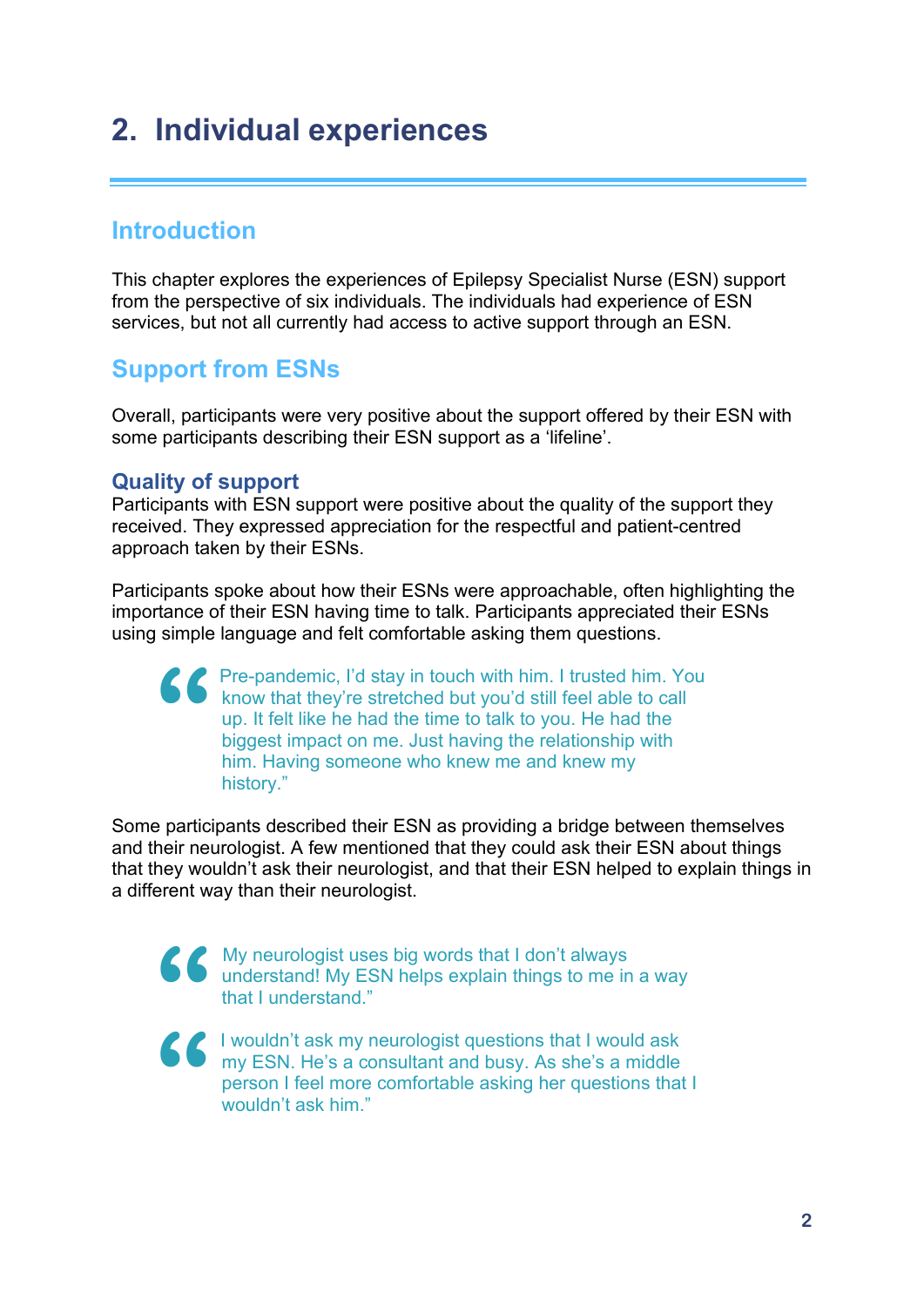# **2. Individual experiences**

## **Introduction**

This chapter explores the experiences of Epilepsy Specialist Nurse (ESN) support from the perspective of six individuals. The individuals had experience of ESN services, but not all currently had access to active support through an ESN.

## **Support from ESNs**

Overall, participants were very positive about the support offered by their ESN with some participants describing their ESN support as a 'lifeline'.

#### **Quality of support**

Participants with ESN support were positive about the quality of the support they received. They expressed appreciation for the respectful and patient-centred approach taken by their ESNs.

Participants spoke about how their ESNs were approachable, often highlighting the importance of their ESN having time to talk. Participants appreciated their ESNs using simple language and felt comfortable asking them questions.

Pre-pandemic, I'd stay in touch with him. I trusted him. You know that they're stretched but you'd still feel able to call up. It felt like he had the time to talk to you. He had the biggest impact on me. Just having the relationship with him. Having someone who knew me and knew my history." **"**

Some participants described their ESN as providing a bridge between themselves and their neurologist. A few mentioned that they could ask their ESN about things that they wouldn't ask their neurologist, and that their ESN helped to explain things in a different way than their neurologist.

> My neurologist uses big words that I don't always understand! My ESN helps explain things to me in a way that I understand."

**" "**

 I wouldn't ask my neurologist questions that I would ask my ESN. He's a consultant and busy. As she's a middle person I feel more comfortable asking her questions that I wouldn't ask him."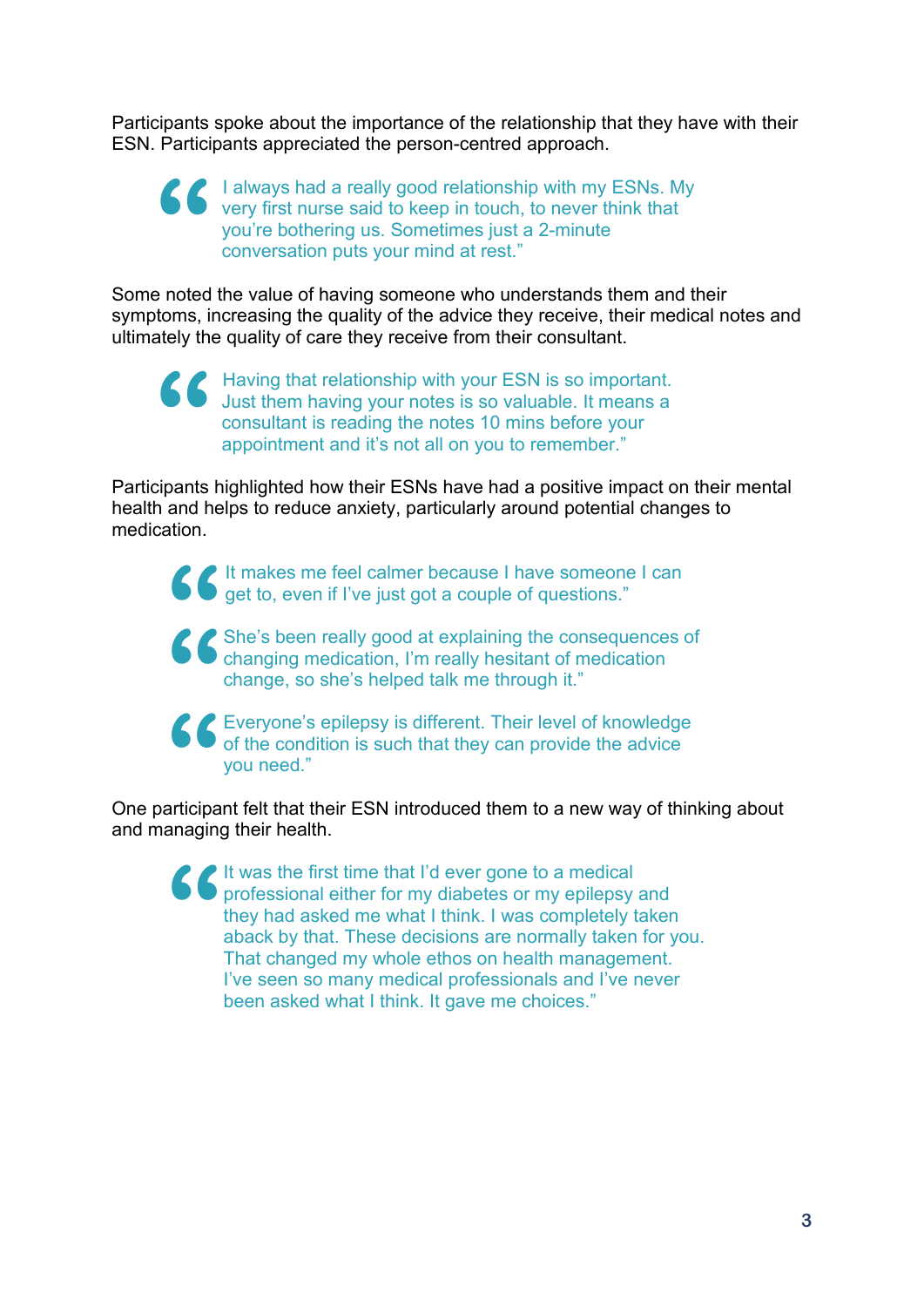Participants spoke about the importance of the relationship that they have with their ESN. Participants appreciated the person-centred approach.

 I always had a really good relationship with my ESNs. My very first nurse said to keep in touch, to never think that you're bothering us. Sometimes just a 2-minute conversation puts your mind at rest." **"**

Some noted the value of having someone who understands them and their symptoms, increasing the quality of the advice they receive, their medical notes and ultimately the quality of care they receive from their consultant.

 Having that relationship with your ESN is so important. Just them having your notes is so valuable. It means a consultant is reading the notes 10 mins before your appointment and it's not all on you to remember." **"**

Participants highlighted how their ESNs have had a positive impact on their mental health and helps to reduce anxiety, particularly around potential changes to medication.

It makes me feel calmer because I have someone I can get to, even if I've just got a couple of questions." **"**

She's been really good at explaining the consequences of changing medication, I'm really hesitant of medication change, so she's helped talk me through it." **"**

Everyone's epilepsy is different. Their level of knowledge of the condition is such that they can provide the advice you need."<br>articipant felt that their ESN introduced them to a new way of thin of the condition is such that they can provide the advice you need."

One participant felt that their ESN introduced them to a new way of thinking about and managing their health.

It was the first time that I'd ever gone to a medical professional either for my diabetes or my epilepsy and they had asked me what I think. I was completely taken aback by that. These decisions are normally taken for you. That changed my whole ethos on health management. I've seen so many medical professionals and I've never been asked what I think. It gave me choices." **"**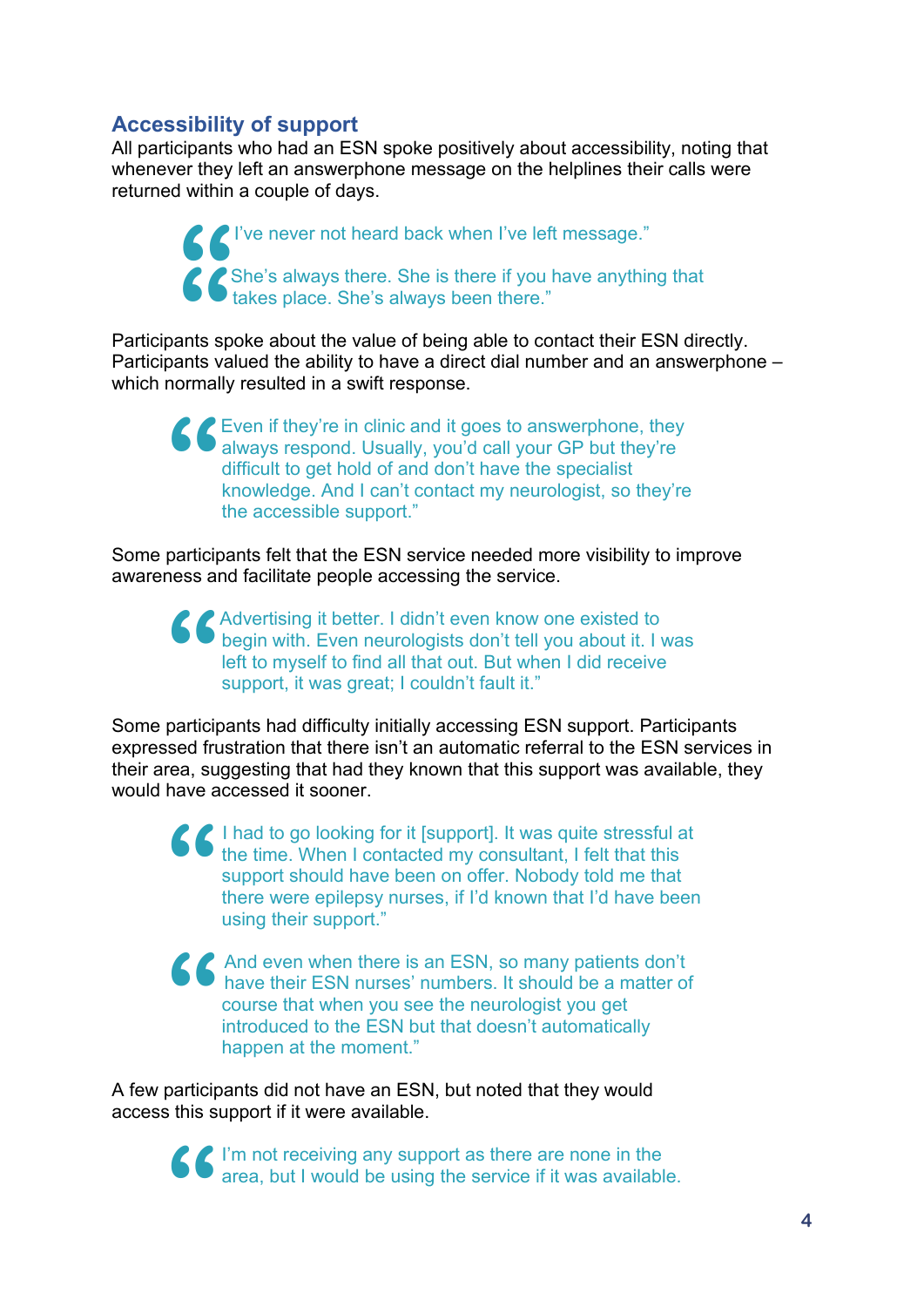## **Accessibility of support**

All participants who had an ESN spoke positively about accessibility, noting that whenever they left an answerphone message on the helplines their calls were returned within a couple of days.

> I've never not heard back when I've left message." She's always there. She is there if you have anything that takes place. She's always been there." **"**

Participants spoke about the value of being able to contact their ESN directly. Participants valued the ability to have a direct dial number and an answerphone – which normally resulted in a swift response. **66**<br>ants sp<br>ants va

Even if they're in clinic and it goes to answerphone, they always respond. Usually, you'd call your GP but they're difficult to get hold of and don't have the specialist knowledge. And I can't contact my neurologist, so th always respond. Usually, you'd call your GP but they're difficult to get hold of and don't have the specialist knowledge. And I can't contact my neurologist, so they're the accessible support."

Some participants felt that the ESN service needed more visibility to improve awareness and facilitate people accessing the service.

**Advertising it better. I didn't even know one existed to begin with. Even neurologists don't tell you about it. I vertice to myself to find all that out. But when I did receive support, it was great; I couldn't fault it."** begin with. Even neurologists don't tell you about it. I was left to myself to find all that out. But when I did receive support, it was great; I couldn't fault it."

Some participants had difficulty initially accessing ESN support. Participants expressed frustration that there isn't an automatic referral to the ESN services in their area, suggesting that had they known that this support was available, they would have accessed it sooner.

**S** I had to go looking for it [support]. It was quite stressful at the time. When I contacted my consultant, I felt that this support should have been on offer. Nobody told me that there were epilepsy nurses, if I'd known the time. When I contacted my consultant, I felt that this support should have been on offer. Nobody told me that there were epilepsy nurses, if I'd known that I'd have been using their support."

And even when there is an ESN, so many patients don't have their ESN nurses' numbers. It should be a matter of course that when you see the neurologist you get introduced to the ESN but that doesn't automatically happen at the moment." **"**

A few participants did not have an ESN, but noted that they would access this support if it were available.

> I'm not receiving any support as there are none in the area, but I would be using the service if it was available. **"**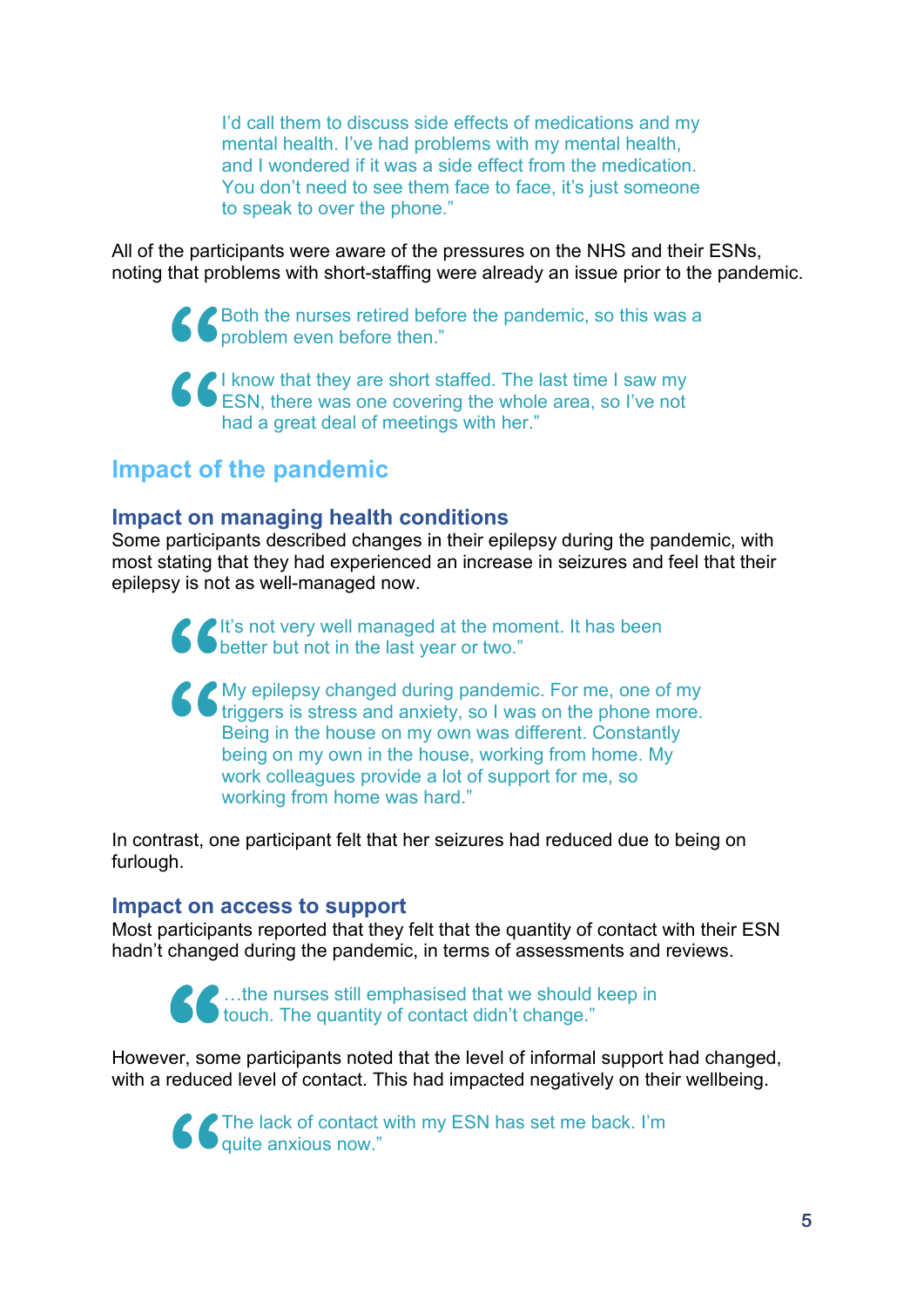I'd call them to discuss side effects of medications and my mental health. I've had problems with my mental health, and I wondered if it was a side effect from the medication. You don't need to see them face to face, it's just someone to speak to over the phone."

All of the participants were aware of the pressures on the NHS and their ESNs, noting that problems with short-staffing were already an issue prior to the pandemic.

> Both the nurses retired before the pandemic, so this was a problem even before then."

I know that they are short staffed. The last time I saw my South the nurses retired before the pandemic, so this was problem even before then."<br>
South they are short staffed. The last time I saw my<br>
SESN, there was one covering the whole area, so I've not had a great deal of meetings with her." **66**<br> **ct of** 

## **Impact of the pandemic**

#### **Impact on managing health conditions**

Some participants described changes in their epilepsy during the pandemic, with most stating that they had experienced an increase in seizures and feel that their epilepsy is not as well-managed now.

It's not very well managed at the moment. It has been better but not in the last year or two." **"**

**COMP** epilepsy changed during pandemic. For me, one of my triggers is stress and anxiety, so I was on the phone more. Being in the house on my own was different. Constantly being on my own in the house, working from home. triggers is stress and anxiety, so I was on the phone more. Being in the house on my own was different. Constantly being on my own in the house, working from home. My work colleagues provide a lot of support for me, so working from home was hard."

In contrast, one participant felt that her seizures had reduced due to being on furlough.

#### **Impact on access to support**

Most participants reported that they felt that the quantity of contact with their ESN hadn't changed during the pandemic, in terms of assessments and reviews.

> …the nurses still emphasised that we should keep in touch. The quantity of contact didn't change."

However, some participants noted that the level of informal support had changed, with a reduced level of contact. This had impacted negatively on their wellbeing. **66** ...th<br>rer, some preduced le

**"**

The lack of contact with my ESN has set me back. I'm quite anxious now."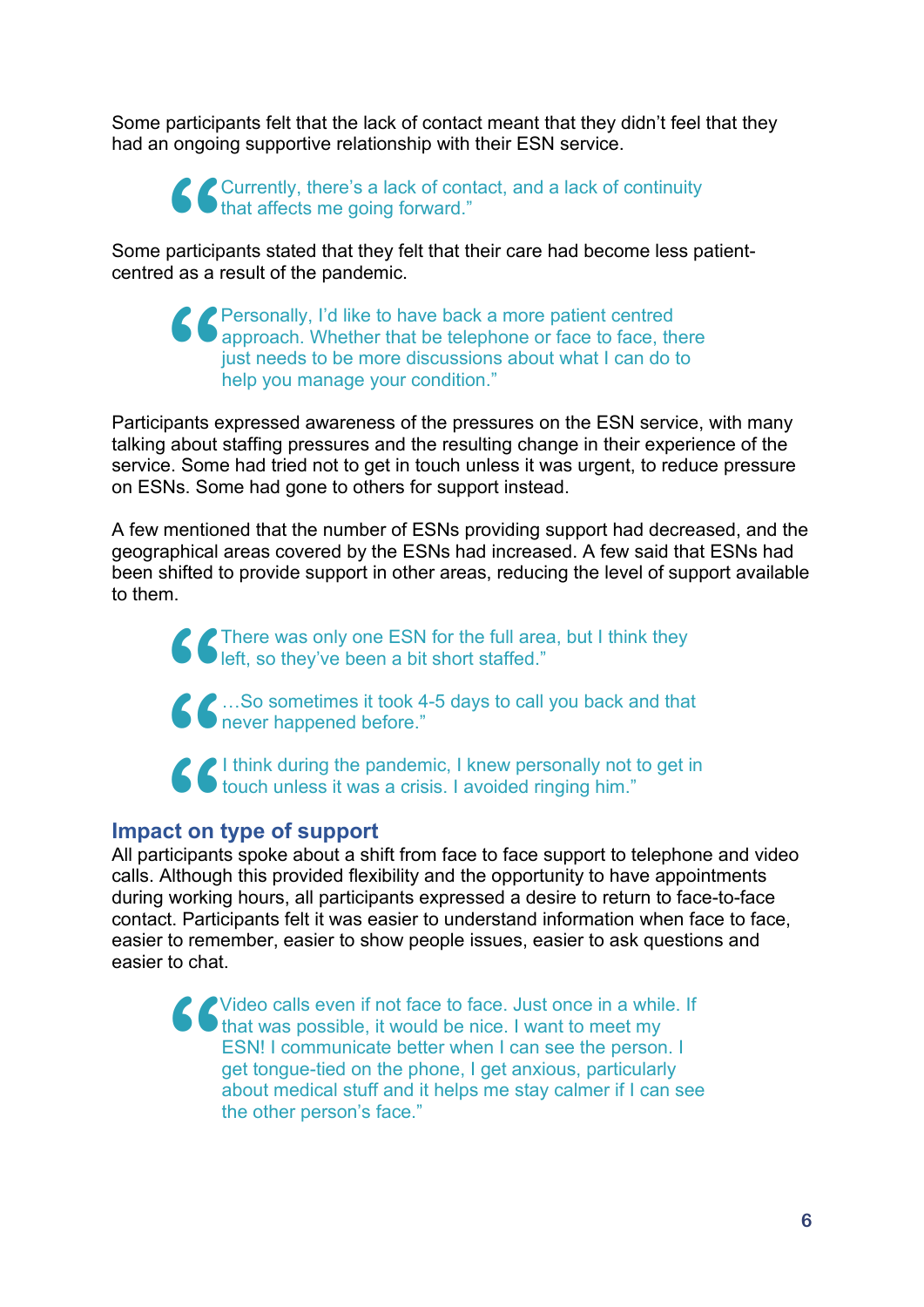Some participants felt that the lack of contact meant that they didn't feel that they had an ongoing supportive relationship with their ESN service.

Currently, there's a lack of contact, and a lack of continuity that affects me going forward."

Some participants stated that they felt that their care had become less patientcentred as a result of the pandemic. **66**<br>particip<br>d as a

Personally, I'd like to have back a more patient centred approach. Whether that be telephone or face to face, there just needs to be more discussions about what I can do to help you manage your condition." **"**

Participants expressed awareness of the pressures on the ESN service, with many talking about staffing pressures and the resulting change in their experience of the service. Some had tried not to get in touch unless it was urgent, to reduce pressure on ESNs. Some had gone to others for support instead.

A few mentioned that the number of ESNs providing support had decreased, and the geographical areas covered by the ESNs had increased. A few said that ESNs had been shifted to provide support in other areas, reducing the level of support available to them.

> There was only one ESN for the full area, but I think they left, so they've been a bit short staffed."



…So sometimes it took 4-5 days to call you back and that never happened before."



#### **Impact on type of support**

All participants spoke about a shift from face to face support to telephone and video calls. Although this provided flexibility and the opportunity to have appointments during working hours, all participants expressed a desire to return to face-to-face contact. Participants felt it was easier to understand information when face to face, easier to remember, easier to show people issues, easier to ask questions and easier to chat.

Video calls even if not face to face. Just once in a while. If that was possible, it would be nice. I want to meet my ESN! I communicate better when I can see the person. I get tongue-tied on the phone, I get anxious, particularly about medical stuff and it helps me stay calmer if I can see the other person's face." **"**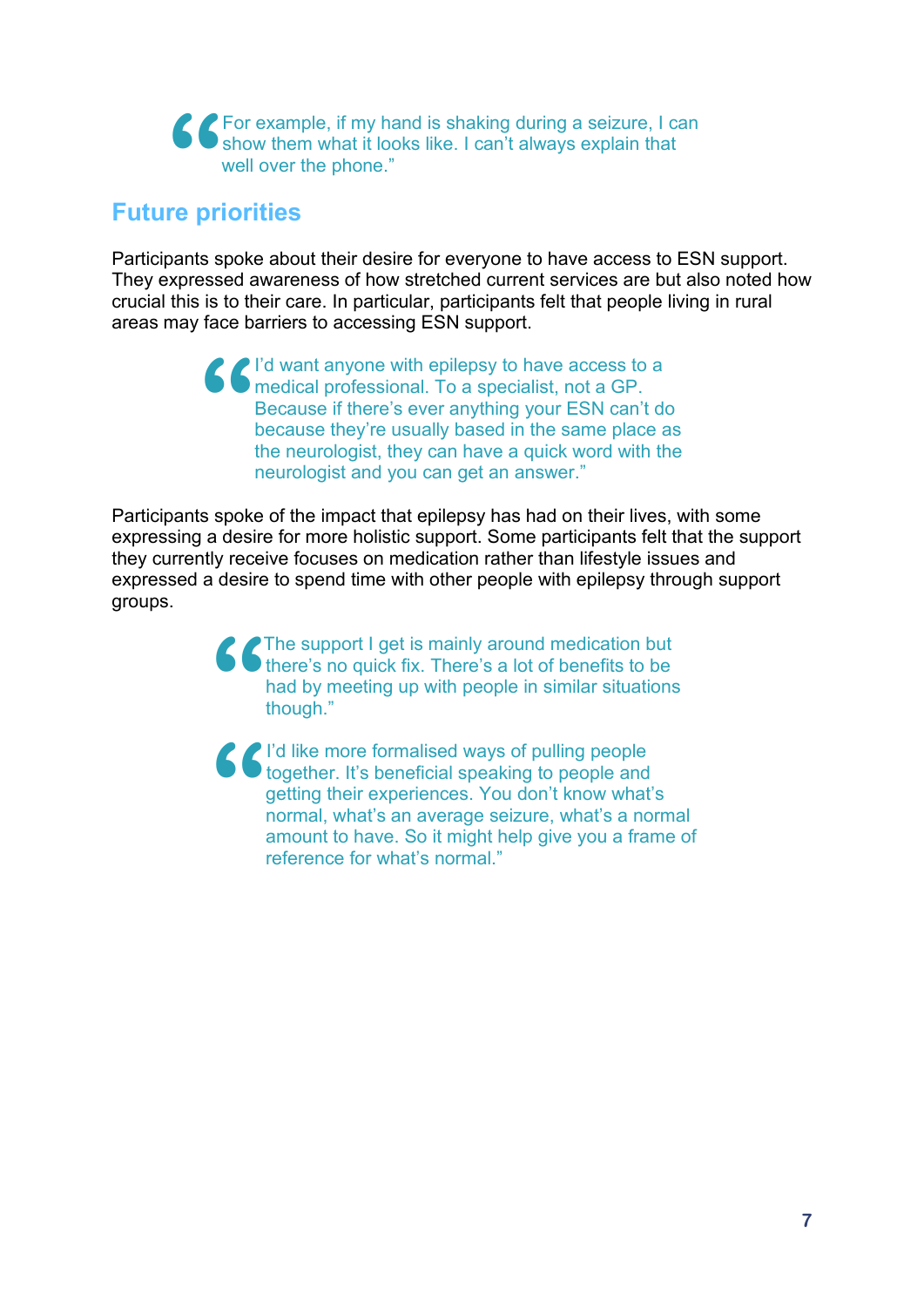For example, if my hand is shaking during a seizure, I can show them what it looks like. I can't always explain that well over the phone." **66**<br>re pr

## **Future priorities**

Participants spoke about their desire for everyone to have access to ESN support. They expressed awareness of how stretched current services are but also noted how crucial this is to their care. In particular, participants felt that people living in rural areas may face barriers to accessing ESN support.

> I'd want anyone with epilepsy to have access to a medical professional. To a specialist, not a GP. Because if there's ever anything your ESN can't do because they're usually based in the same place as the neurologist, they can have a quick word with the neurologist and you can get an answer." **"**

Participants spoke of the impact that epilepsy has had on their lives, with some expressing a desire for more holistic support. Some participants felt that the support they currently receive focuses on medication rather than lifestyle issues and expressed a desire to spend time with other people with epilepsy through support groups.

> The support I get is mainly around medication but there's no quick fix. There's a lot of benefits to be had by meeting up with people in similar situations though." **"**

I'd like more formalised ways of pulling people together. It's beneficial speaking to people and getting their experiences. You don't know what's normal, what's an average seizure, what's a normal amount to have. So it might help give you a frame of reference for what's normal." **"**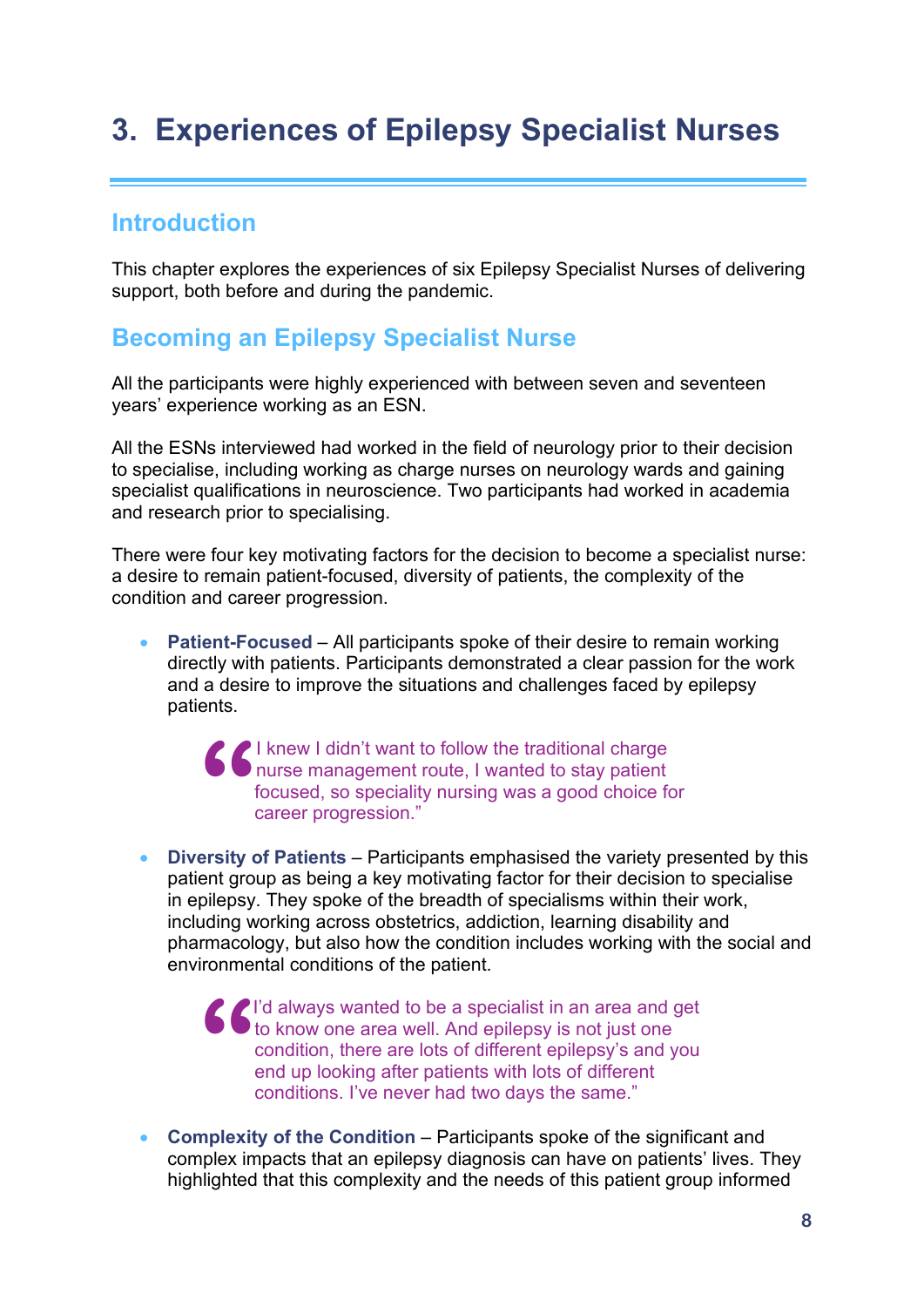# **3. Experiences of Epilepsy Specialist Nurses**

## **Introduction**

This chapter explores the experiences of six Epilepsy Specialist Nurses of delivering support, both before and during the pandemic.

## **Becoming an Epilepsy Specialist Nurse**

All the participants were highly experienced with between seven and seventeen years' experience working as an ESN.

All the ESNs interviewed had worked in the field of neurology prior to their decision to specialise, including working as charge nurses on neurology wards and gaining specialist qualifications in neuroscience. Two participants had worked in academia and research prior to specialising.

There were four key motivating factors for the decision to become a specialist nurse: a desire to remain patient-focused, diversity of patients, the complexity of the condition and career progression.

• **Patient-Focused** – All participants spoke of their desire to remain working directly with patients. Participants demonstrated a clear passion for the work and a desire to improve the situations and challenges faced by epilepsy patients.

I knew I didn't want to follow the traditional charge nurse management route, I wanted to stay patient focused, so speciality nursing was a good choice for career progression." **"**

• **Diversity of Patients** – Participants emphasised the variety presented by this patient group as being a key motivating factor for their decision to specialise in epilepsy. They spoke of the breadth of specialisms within their work, including working across obstetrics, addiction, learning disability and pharmacology, but also how the condition includes working with the social and environmental conditions of the patient.

I'd always wanted to be a specialist in an area and get to know one area well. And epilepsy is not just one condition, there are lots of different epilepsy's and you end up looking after patients with lots of different conditions. I've never had two days the same." **"**

• **Complexity of the Condition** – Participants spoke of the significant and complex impacts that an epilepsy diagnosis can have on patients' lives. They highlighted that this complexity and the needs of this patient group informed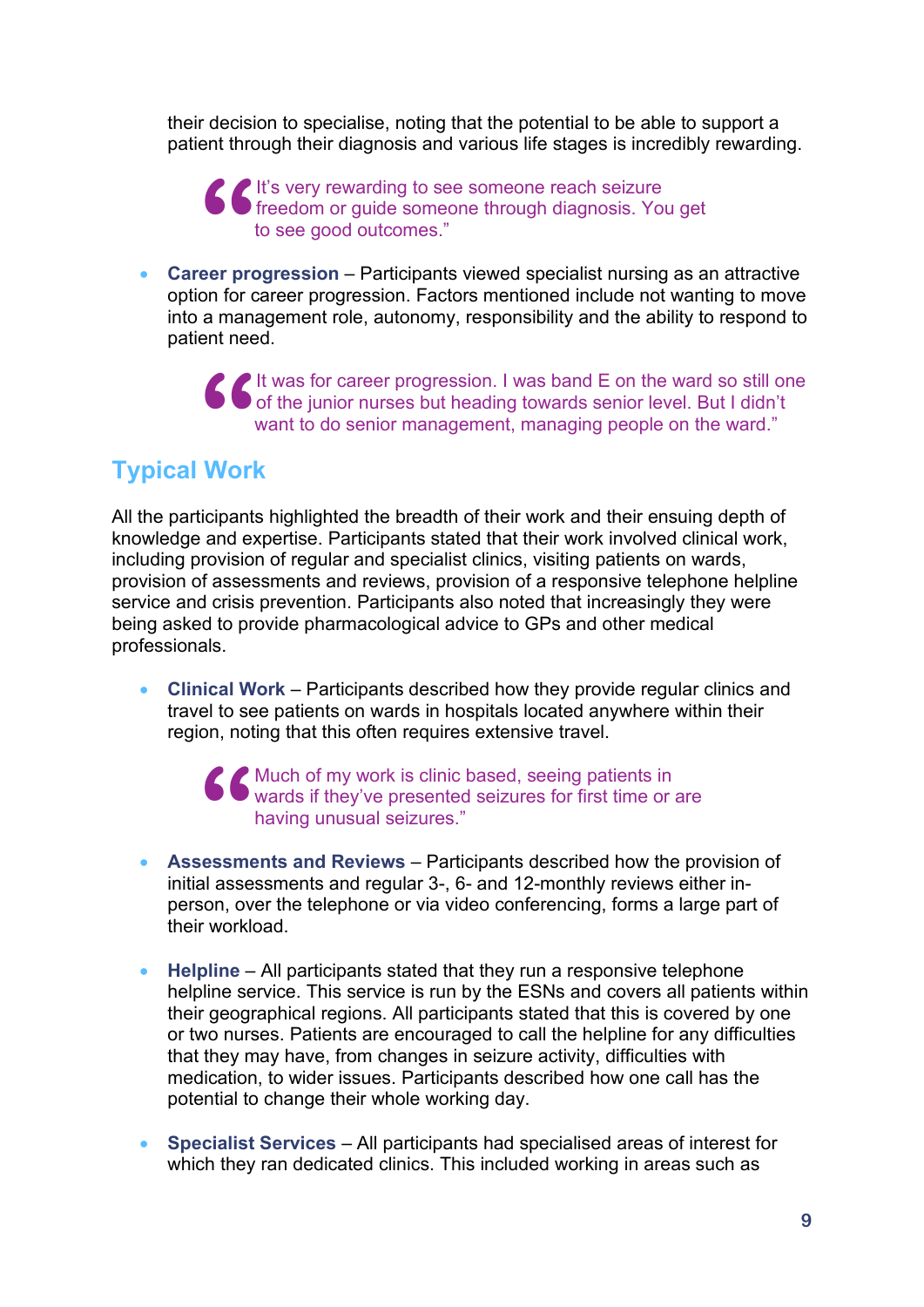their decision to specialise, noting that the potential to be able to support a patient through their diagnosis and various life stages is incredibly rewarding.

It's very rewarding to see someone reach seizure freedom or guide someone through diagnosis. You get to see good outcomes." **66**<br>eer pro

• **Career progression** – Participants viewed specialist nursing as an attractive option for career progression. Factors mentioned include not wanting to move into a management role, autonomy, responsibility and the ability to respond to patient need.

It was for career progression. I was band E on the ward so still one of the junior nurses but heading towards senior level. But I didn't want to do senior management, managing people on the ward." **66**<br>Worl

## **Typical Work**

All the participants highlighted the breadth of their work and their ensuing depth of knowledge and expertise. Participants stated that their work involved clinical work, including provision of regular and specialist clinics, visiting patients on wards, provision of assessments and reviews, provision of a responsive telephone helpline service and crisis prevention. Participants also noted that increasingly they were being asked to provide pharmacological advice to GPs and other medical professionals.

• **Clinical Work** – Participants described how they provide regular clinics and travel to see patients on wards in hospitals located anywhere within their region, noting that this often requires extensive travel.

**66** Much of my work is clinic based, seeing patients in wards if they've presented seizures for first time or having unusual seizures."<br> **Solution** is not not be a set of the set of the set of the set of the set of the se wards if they've presented seizures for first time or are having unusual seizures."

- **Assessments and Reviews** Participants described how the provision of initial assessments and regular 3-, 6- and 12-monthly reviews either inperson, over the telephone or via video conferencing, forms a large part of their workload.
- **Helpline** All participants stated that they run a responsive telephone helpline service. This service is run by the ESNs and covers all patients within their geographical regions. All participants stated that this is covered by one or two nurses. Patients are encouraged to call the helpline for any difficulties that they may have, from changes in seizure activity, difficulties with medication, to wider issues. Participants described how one call has the potential to change their whole working day.
- **Specialist Services** All participants had specialised areas of interest for which they ran dedicated clinics. This included working in areas such as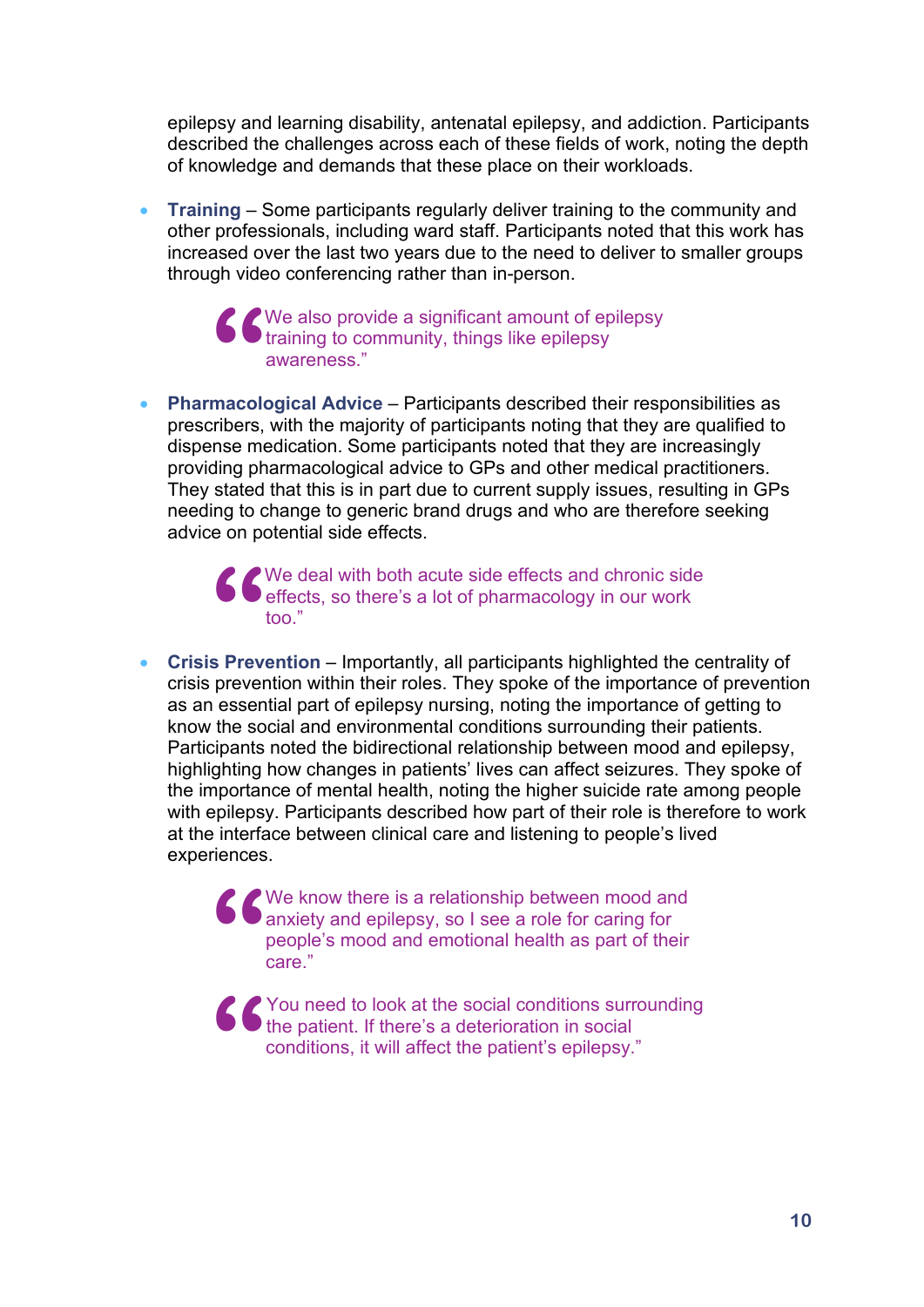epilepsy and learning disability, antenatal epilepsy, and addiction. Participants described the challenges across each of these fields of work, noting the depth of knowledge and demands that these place on their workloads.

• **Training** – Some participants regularly deliver training to the community and other professionals, including ward staff. Participants noted that this work has increased over the last two years due to the need to deliver to smaller groups through video conferencing rather than in-person.

> We also provide a significant amount of epilepsy training to community, things like epilepsy awareness." **66**<br>macolo

• **Pharmacological Advice** – Participants described their responsibilities as prescribers, with the majority of participants noting that they are qualified to dispense medication. Some participants noted that they are increasingly providing pharmacological advice to GPs and other medical practitioners. They stated that this is in part due to current supply issues, resulting in GPs needing to change to generic brand drugs and who are therefore seeking advice on potential side effects.

> We deal with both acute side effects and chronic side effects, so there's a lot of pharmacology in our work too." **66**<br>s Prev

• **Crisis Prevention** – Importantly, all participants highlighted the centrality of crisis prevention within their roles. They spoke of the importance of prevention as an essential part of epilepsy nursing, noting the importance of getting to know the social and environmental conditions surrounding their patients. Participants noted the bidirectional relationship between mood and epilepsy, highlighting how changes in patients' lives can affect seizures. They spoke of the importance of mental health, noting the higher suicide rate among people with epilepsy. Participants described how part of their role is therefore to work at the interface between clinical care and listening to people's lived experiences.

> anxiety and epilepsy, so I see a role for caring for people's mood and emotional health as part of their care."

You need to look at the social conditions surrounding the patient. If there's a deterioration in social conditions, it will affect the patient's epilepsy." **"**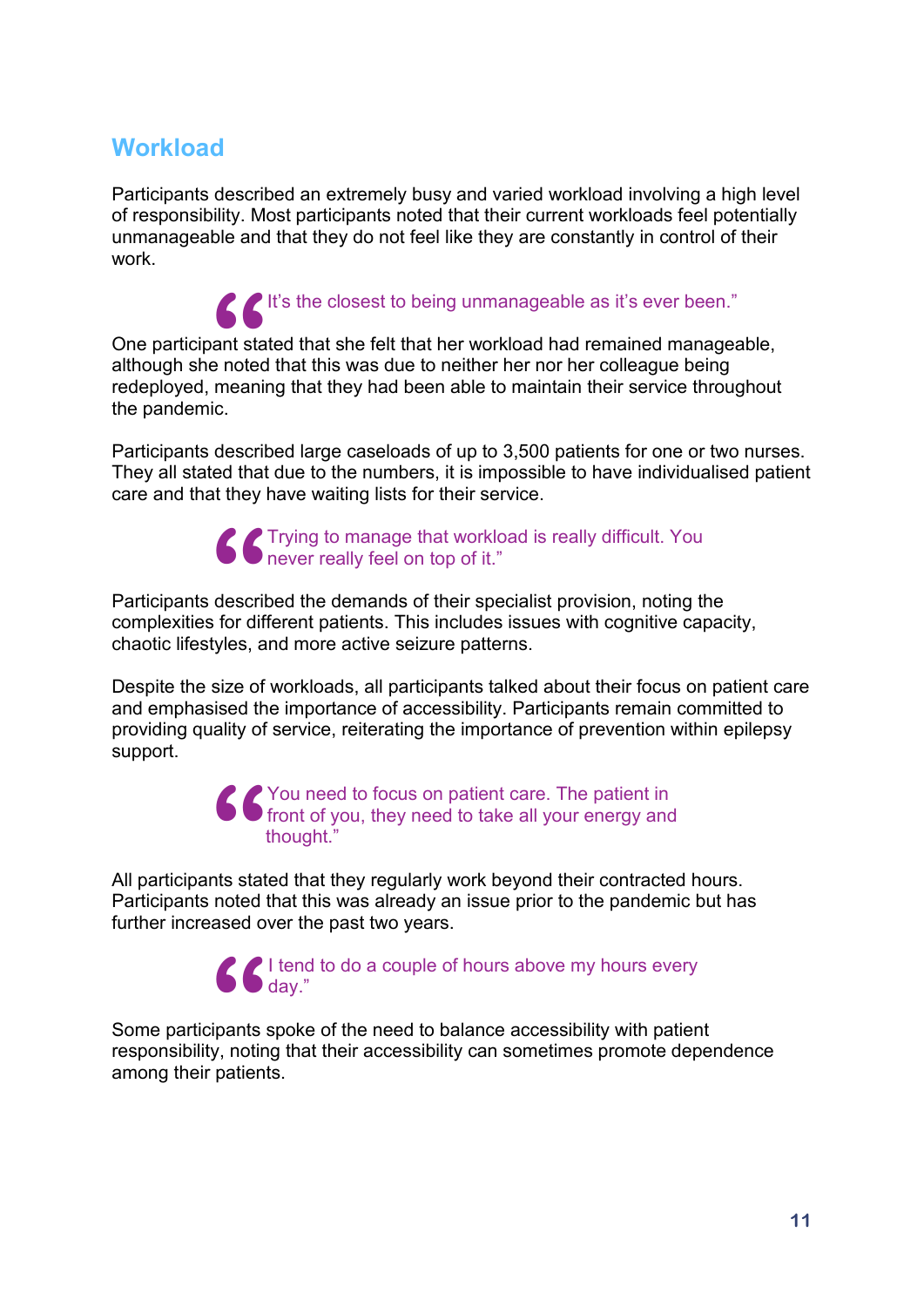## **Workload**

Participants described an extremely busy and varied workload involving a high level of responsibility. Most participants noted that their current workloads feel potentially unmanageable and that they do not feel like they are constantly in control of their work.

It's the closest to being unmanageable as it's ever been."<br>ant stated that she felt that her workload had remained manage:<br>e noted that this was due to neither her nor her colleague being<br>meaning that they had been able to One participant stated that she felt that her workload had remained manageable, although she noted that this was due to neither her nor her colleague being redeployed, meaning that they had been able to maintain their service throughout the pandemic.

Participants described large caseloads of up to 3,500 patients for one or two nurses. They all stated that due to the numbers, it is impossible to have individualised patient care and that they have waiting lists for their service.



Participants described the demands of their specialist provision, noting the complexities for different patients. This includes issues with cognitive capacity, chaotic lifestyles, and more active seizure patterns. **66**<br>descrit<br>s for dif

Despite the size of workloads, all participants talked about their focus on patient care and emphasised the importance of accessibility. Participants remain committed to providing quality of service, reiterating the importance of prevention within epilepsy support.

> You need to focus on patient care. The patient in front of you, they need to take all your energy and thought." **66**<br>
> nts stat

All participants stated that they regularly work beyond their contracted hours. Participants noted that this was already an issue prior to the pandemic but has further increased over the past two years.

> I tend to do a couple of hours above my hours every day."

Some participants spoke of the need to balance accessibility with patient responsibility, noting that their accessibility can sometimes promote dependence among their patients. **"**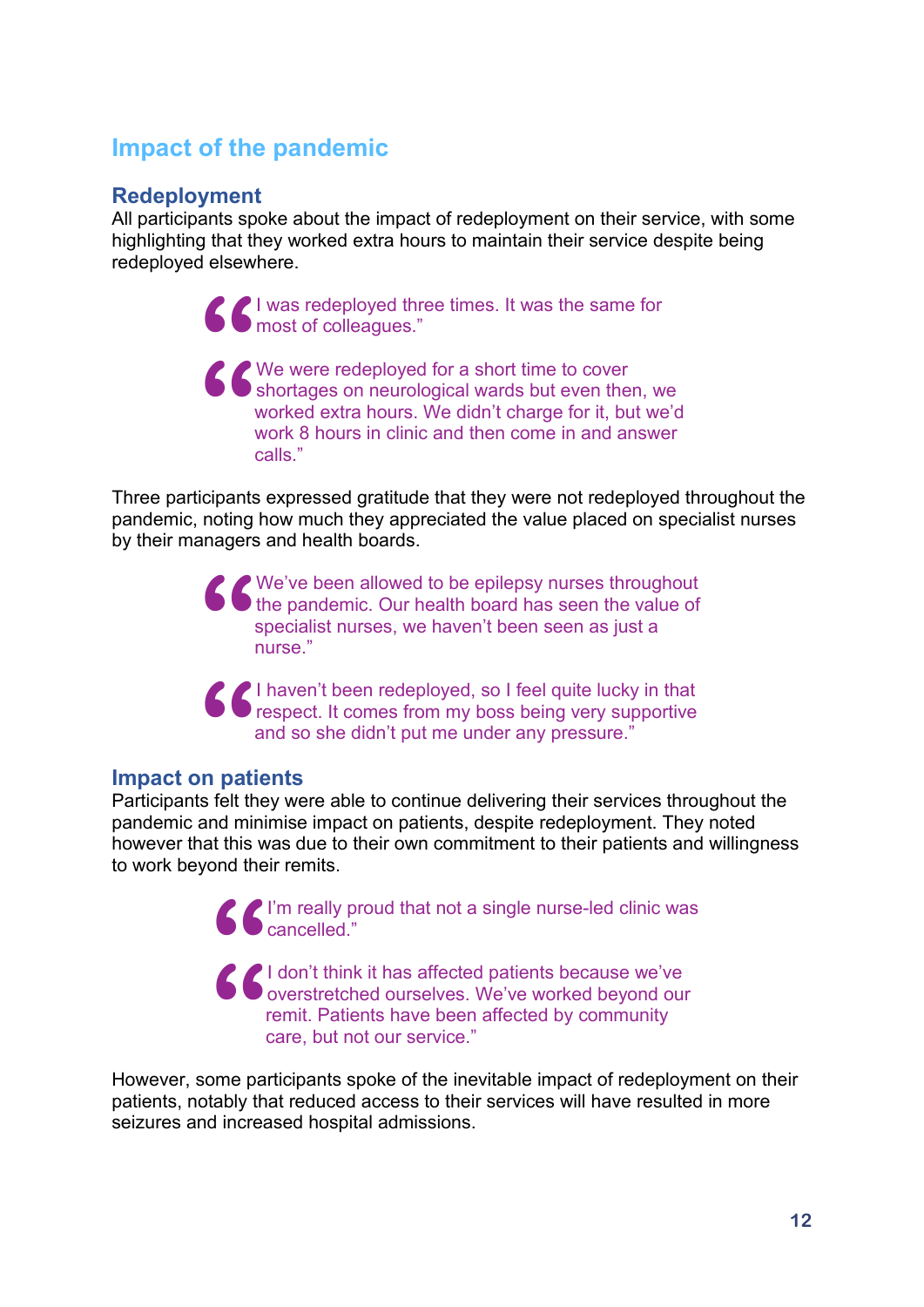## **Impact of the pandemic**

#### **Redeployment**

All participants spoke about the impact of redeployment on their service, with some highlighting that they worked extra hours to maintain their service despite being redeployed elsewhere.

> I was redeployed three times. It was the same for most of colleagues."

We were redeployed for a short time to cover shortages on neurological wards but even then, we worked extra hours. We didn't charge for it, but we'd work 8 hours in clinic and then come in and answer calls." **" "**

Three participants expressed gratitude that they were not redeployed throughout the pandemic, noting how much they appreciated the value placed on specialist nurses by their managers and health boards.

> We've been allowed to be epilepsy nurses throughout the pandemic. Our health board has seen the value of specialist nurses, we haven't been seen as just a nurse." **"**

> I haven't been redeployed, so I feel quite lucky in that respect. It comes from my boss being very supportive and so she didn't put me under any pressure." **66**<br>
> In pation

#### **Impact on patients**

Participants felt they were able to continue delivering their services throughout the pandemic and minimise impact on patients, despite redeployment. They noted however that this was due to their own commitment to their patients and willingness to work beyond their remits.

> I'm really proud that not a single nurse-led clinic was cancelled."

I don't think it has affected patients because we've overstretched ourselves. We've worked beyond our remit. Patients have been affected by community care, but not our service." **" "**

However, some participants spoke of the inevitable impact of redeployment on their patients, notably that reduced access to their services will have resulted in more seizures and increased hospital admissions.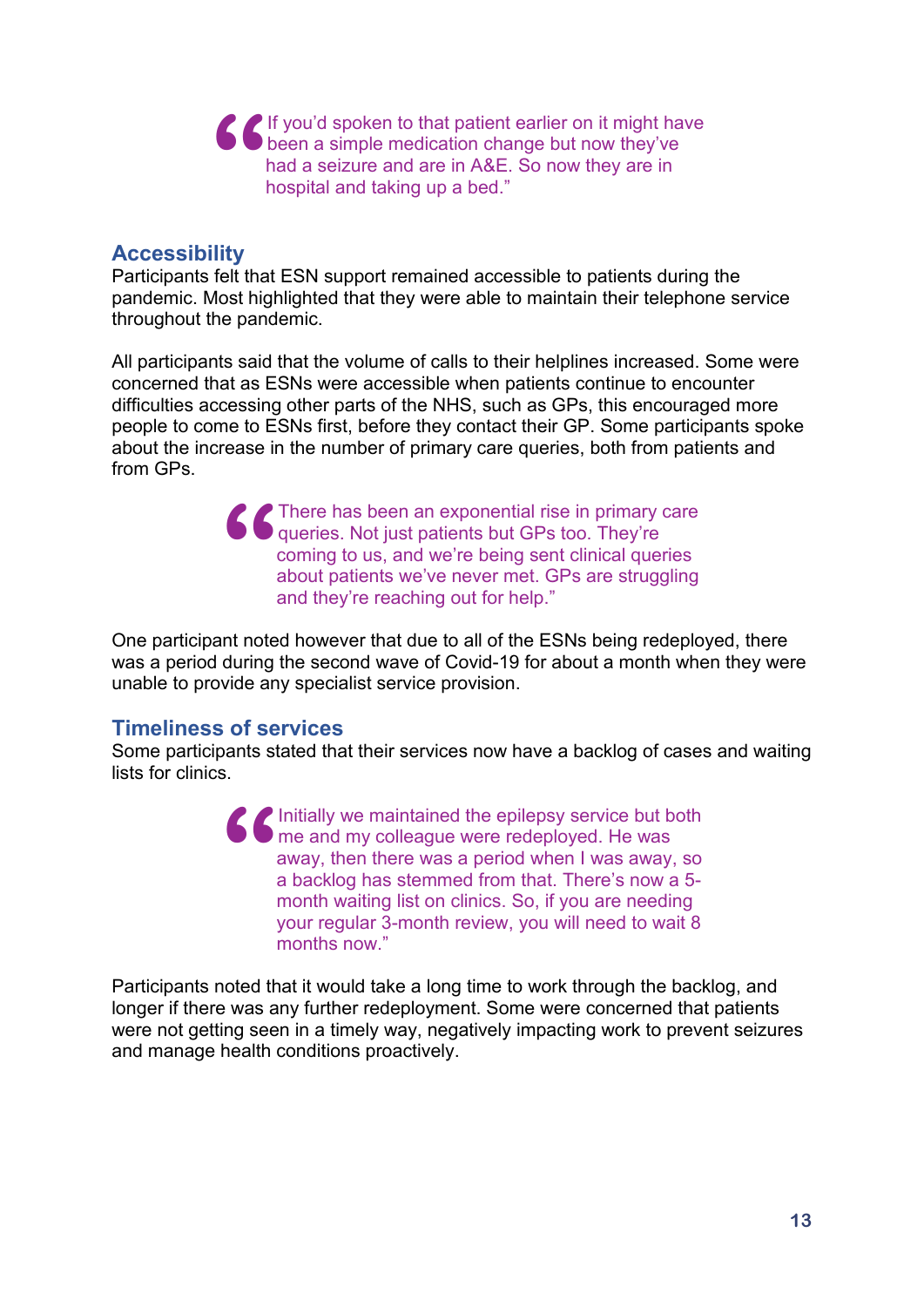If you'd spoken to that patient earlier on it might have been a simple medication change but now they've had a seizure and are in A&E. So now they are in hospital and taking up a bed." **"**

#### **Accessibility**

Participants felt that ESN support remained accessible to patients during the pandemic. Most highlighted that they were able to maintain their telephone service throughout the pandemic.

All participants said that the volume of calls to their helplines increased. Some were concerned that as ESNs were accessible when patients continue to encounter difficulties accessing other parts of the NHS, such as GPs, this encouraged more people to come to ESNs first, before they contact their GP. Some participants spoke about the increase in the number of primary care queries, both from patients and from GPs.

> **There has been an exponential rise in primary care queries. Not just patients but GPs too. They're coming to us, and we're being sent clinical queries about patients we've never met. GPs are struggling and they're reachin** queries. Not just patients but GPs too. They're coming to us, and we're being sent clinical queries about patients we've never met. GPs are struggling and they're reaching out for help."

One participant noted however that due to all of the ESNs being redeployed, there was a period during the second wave of Covid-19 for about a month when they were unable to provide any specialist service provision.

#### **Timeliness of services**

Some participants stated that their services now have a backlog of cases and waiting lists for clinics.

> Initially we maintained the epilepsy service but both me and my colleague were redeployed. He was away, then there was a period when I was away, so a backlog has stemmed from that. There's now a 5 month waiting list on clinics. So, if you are needing your regular 3-month review, you will need to wait 8 months now." **"**

Participants noted that it would take a long time to work through the backlog, and longer if there was any further redeployment. Some were concerned that patients were not getting seen in a timely way, negatively impacting work to prevent seizures and manage health conditions proactively.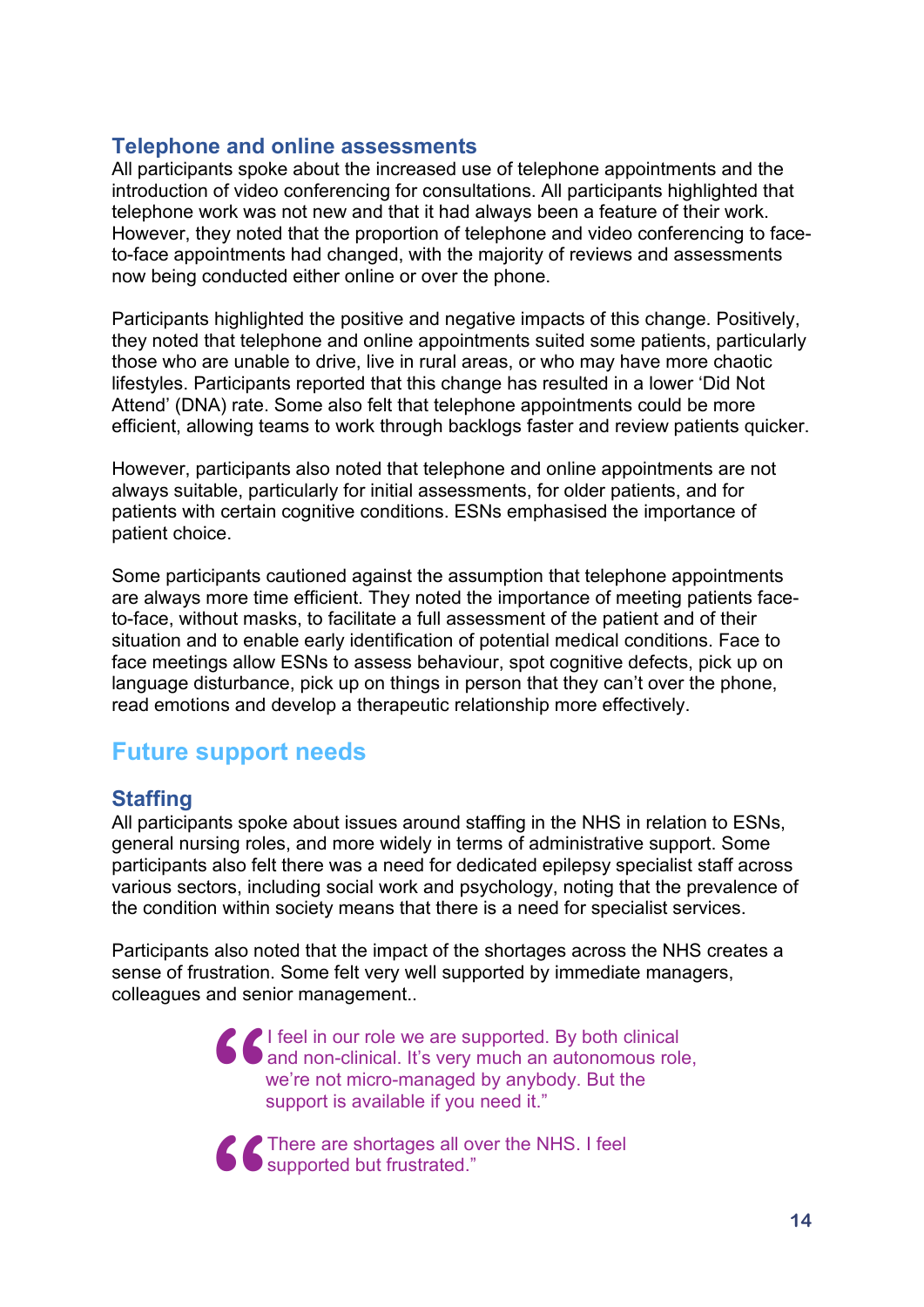#### **Telephone and online assessments**

All participants spoke about the increased use of telephone appointments and the introduction of video conferencing for consultations. All participants highlighted that telephone work was not new and that it had always been a feature of their work. However, they noted that the proportion of telephone and video conferencing to faceto-face appointments had changed, with the majority of reviews and assessments now being conducted either online or over the phone.

Participants highlighted the positive and negative impacts of this change. Positively, they noted that telephone and online appointments suited some patients, particularly those who are unable to drive, live in rural areas, or who may have more chaotic lifestyles. Participants reported that this change has resulted in a lower 'Did Not Attend' (DNA) rate. Some also felt that telephone appointments could be more efficient, allowing teams to work through backlogs faster and review patients quicker.

However, participants also noted that telephone and online appointments are not always suitable, particularly for initial assessments, for older patients, and for patients with certain cognitive conditions. ESNs emphasised the importance of patient choice.

Some participants cautioned against the assumption that telephone appointments are always more time efficient. They noted the importance of meeting patients faceto-face, without masks, to facilitate a full assessment of the patient and of their situation and to enable early identification of potential medical conditions. Face to face meetings allow ESNs to assess behaviour, spot cognitive defects, pick up on language disturbance, pick up on things in person that they can't over the phone, read emotions and develop a therapeutic relationship more effectively.

## **Future support needs**

## **Staffing**

All participants spoke about issues around staffing in the NHS in relation to ESNs, general nursing roles, and more widely in terms of administrative support. Some participants also felt there was a need for dedicated epilepsy specialist staff across various sectors, including social work and psychology, noting that the prevalence of the condition within society means that there is a need for specialist services.

Participants also noted that the impact of the shortages across the NHS creates a sense of frustration. Some felt very well supported by immediate managers, colleagues and senior management..

> I feel in our role we are supported. By both clinical and non-clinical. It's very much an autonomous role, we're not micro-managed by anybody. But the support is available if you need it." **"**

**6** There are shortages all over the NHS. I feel<br>supported but frustrated." supported but frustrated."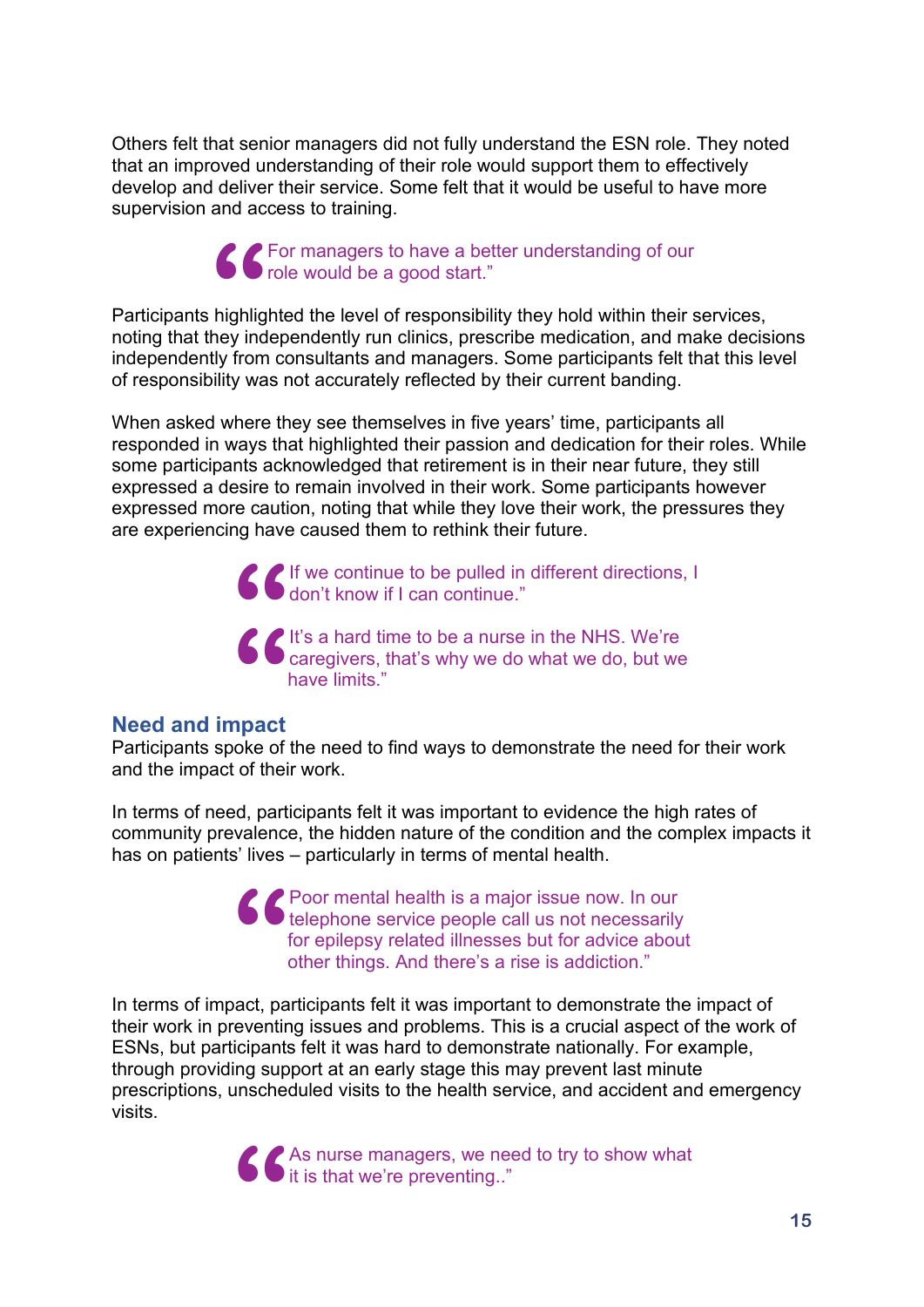Others felt that senior managers did not fully understand the ESN role. They noted that an improved understanding of their role would support them to effectively develop and deliver their service. Some felt that it would be useful to have more supervision and access to training.

> For managers to have a better understanding of our role would be a good start."

Participants highlighted the level of responsibility they hold within their services, noting that they independently run clinics, prescribe medication, and make decisions independently from consultants and managers. Some participants felt that this level of responsibility was not accurately reflected by their current banding. **66**<br>highlig<br>hey ind

When asked where they see themselves in five years' time, participants all responded in ways that highlighted their passion and dedication for their roles. While some participants acknowledged that retirement is in their near future, they still expressed a desire to remain involved in their work. Some participants however expressed more caution, noting that while they love their work, the pressures they are experiencing have caused them to rethink their future.

> If we continue to be pulled in different directions, I don't know if I can continue."

It's a hard time to be a nurse in the NHS. We're **C** If we continue to be pulled in different directions,<br>don't know if I can continue."<br> **C** It's a hard time to be a nurse in the NHS. We're<br>
caregivers, that's why we do what we do, but we have limits." **66**<br> **S**<br> **S**<br> **S**<br> **S**<br> **S** 

#### **Need and impact**

Participants spoke of the need to find ways to demonstrate the need for their work and the impact of their work.

In terms of need, participants felt it was important to evidence the high rates of community prevalence, the hidden nature of the condition and the complex impacts it has on patients' lives – particularly in terms of mental health.

> Poor mental health is a major issue now. In our telephone service people call us not necessarily for epilepsy related illnesses but for advice about other things. And there's a rise is addiction." **"**

In terms of impact, participants felt it was important to demonstrate the impact of their work in preventing issues and problems. This is a crucial aspect of the work of ESNs, but participants felt it was hard to demonstrate nationally. For example, through providing support at an early stage this may prevent last minute prescriptions, unscheduled visits to the health service, and accident and emergency visits.

> As nurse managers, we need to try to show what it is that we're preventing.." **"**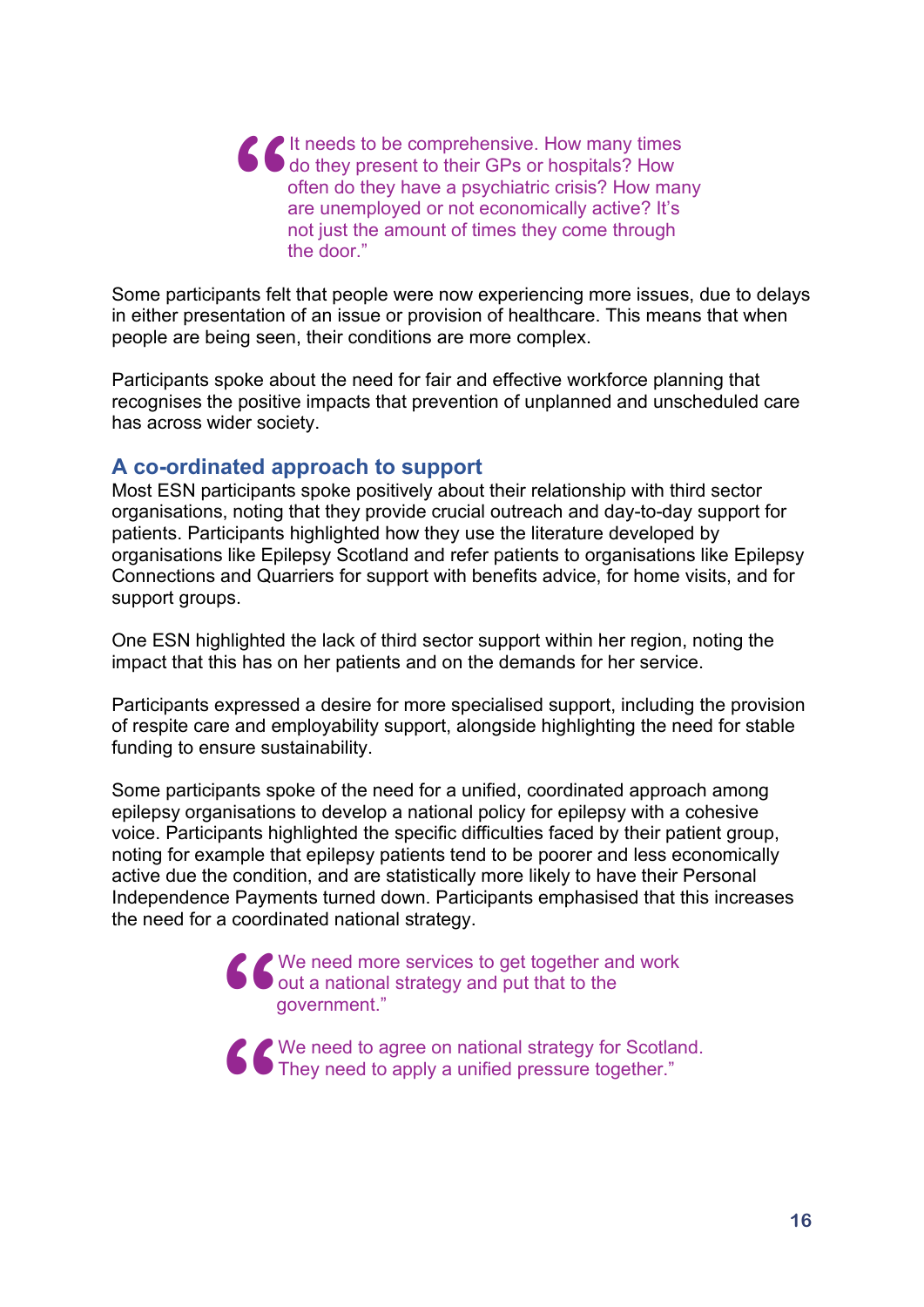It needs to be comprehensive. How many times do they present to their GPs or hospitals? How often do they have a psychiatric crisis? How many are unemployed or not economically active? It's not just the amount of times they come through the door." **"**

Some participants felt that people were now experiencing more issues, due to delays in either presentation of an issue or provision of healthcare. This means that when people are being seen, their conditions are more complex.

Participants spoke about the need for fair and effective workforce planning that recognises the positive impacts that prevention of unplanned and unscheduled care has across wider society.

#### **A co-ordinated approach to support**

Most ESN participants spoke positively about their relationship with third sector organisations, noting that they provide crucial outreach and day-to-day support for patients. Participants highlighted how they use the literature developed by organisations like Epilepsy Scotland and refer patients to organisations like Epilepsy Connections and Quarriers for support with benefits advice, for home visits, and for support groups.

One ESN highlighted the lack of third sector support within her region, noting the impact that this has on her patients and on the demands for her service.

Participants expressed a desire for more specialised support, including the provision of respite care and employability support, alongside highlighting the need for stable funding to ensure sustainability.

Some participants spoke of the need for a unified, coordinated approach among epilepsy organisations to develop a national policy for epilepsy with a cohesive voice. Participants highlighted the specific difficulties faced by their patient group, noting for example that epilepsy patients tend to be poorer and less economically active due the condition, and are statistically more likely to have their Personal Independence Payments turned down. Participants emphasised that this increases the need for a coordinated national strategy.

> <p><b>6</b> We need more services to get together and work out a national strategy and put that to the government."</p>\n<p><b>7</b> We need to agree on national strategy for Scotland." The second way for the second way for the second way for the second way for the second way for the second way.</p> out a national strategy and put that to the government."

We need to agree on national strategy for Scotland. They need to apply a unified pressure together." **"**